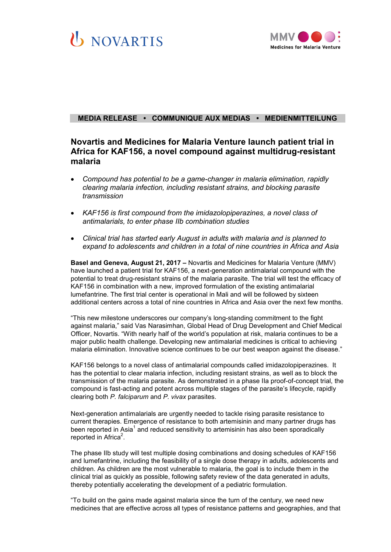



## **MEDIA RELEASE • COMMUNIQUE AUX MEDIAS • MEDIENMITTEILUNG**

# **Novartis and Medicines for Malaria Venture launch patient trial in Africa for KAF156, a novel compound against multidrug-resistant malaria**

- *Compound has potential to be a game-changer in malaria elimination, rapidly clearing malaria infection, including resistant strains, and blocking parasite transmission*
- *KAF156 is first compound from the imidazolopiperazines, a novel class of antimalarials, to enter phase IIb combination studies*
- *Clinical trial has started early August in adults with malaria and is planned to expand to adolescents and children in a total of nine countries in Africa and Asia*

**Basel and Geneva, August 21, 2017 –** Novartis and Medicines for Malaria Venture (MMV) have launched a patient trial for KAF156, a next-generation antimalarial compound with the potential to treat drug-resistant strains of the malaria parasite. The trial will test the efficacy of KAF156 in combination with a new, improved formulation of the existing antimalarial lumefantrine. The first trial center is operational in Mali and will be followed by sixteen additional centers across a total of nine countries in Africa and Asia over the next few months.

"This new milestone underscores our company's long-standing commitment to the fight against malaria," said Vas Narasimhan, Global Head of Drug Development and Chief Medical Officer, Novartis. "With nearly half of the world's population at risk, malaria continues to be a major public health challenge. Developing new antimalarial medicines is critical to achieving malaria elimination. Innovative science continues to be our best weapon against the disease."

KAF156 belongs to a novel class of antimalarial compounds called imidazolopiperazines. It has the potential to clear malaria infection, including resistant strains, as well as to block the transmission of the malaria parasite. As demonstrated in a phase IIa proof-of-concept trial, the compound is fast-acting and potent across multiple stages of the parasite's lifecycle, rapidly clearing both *P. falciparum* and *P. vivax* parasites.

Next-generation antimalarials are urgently needed to tackle rising parasite resistance to current therapies. Emergence of resistance to both artemisinin and many partner drugs has been reported in Asia<sup>1</sup> and reduced sensitivity to artemisinin has also been sporadically reported in Africa<sup>2</sup>.

The phase IIb study will test multiple dosing combinations and dosing schedules of KAF156 and lumefantrine, including the feasibility of a single dose therapy in adults, adolescents and children. As children are the most vulnerable to malaria, the goal is to include them in the clinical trial as quickly as possible, following safety review of the data generated in adults, thereby potentially accelerating the development of a pediatric formulation.

"To build on the gains made against malaria since the turn of the century, we need new medicines that are effective across all types of resistance patterns and geographies, and that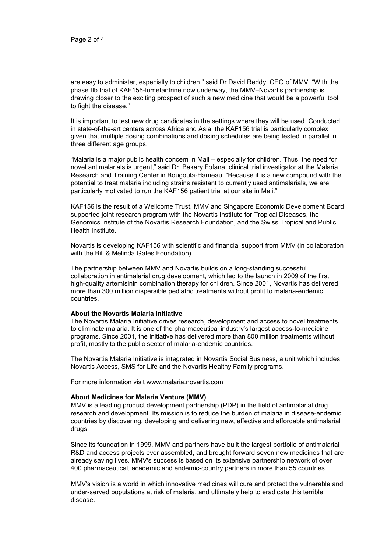are easy to administer, especially to children," said Dr David Reddy, CEO of MMV. "With the phase IIb trial of KAF156-lumefantrine now underway, the MMV–Novartis partnership is drawing closer to the exciting prospect of such a new medicine that would be a powerful tool to fight the disease."

It is important to test new drug candidates in the settings where they will be used. Conducted in state-of-the-art centers across Africa and Asia, the KAF156 trial is particularly complex given that multiple dosing combinations and dosing schedules are being tested in parallel in three different age groups.

"Malaria is a major public health concern in Mali – especially for children. Thus, the need for novel antimalarials is urgent," said Dr. Bakary Fofana, clinical trial investigator at the Malaria Research and Training Center in Bougoula‐Hameau. "Because it is a new compound with the potential to treat malaria including strains resistant to currently used antimalarials, we are particularly motivated to run the KAF156 patient trial at our site in Mali."

KAF156 is the result of a Wellcome Trust, MMV and Singapore Economic Development Board supported joint research program with the Novartis Institute for Tropical Diseases, the Genomics Institute of the Novartis Research Foundation, and the Swiss Tropical and Public Health Institute.

Novartis is developing KAF156 with scientific and financial support from MMV (in collaboration with the Bill & Melinda Gates Foundation).

The partnership between MMV and Novartis builds on a long-standing successful collaboration in antimalarial drug development, which led to the launch in 2009 of the first high-quality artemisinin combination therapy for children. Since 2001, Novartis has delivered more than 300 million dispersible pediatric treatments without profit to malaria-endemic countries.

#### **About the Novartis Malaria Initiative**

The Novartis Malaria Initiative drives research, development and access to novel treatments to eliminate malaria. It is one of the pharmaceutical industry's largest access-to-medicine programs. Since 2001, the initiative has delivered more than 800 million treatments without profit, mostly to the public sector of malaria-endemic countries.

The Novartis Malaria Initiative is integrated in Novartis Social Business, a unit which includes Novartis Access, SMS for Life and the Novartis Healthy Family programs.

For more information visit www.malaria.novartis.com

#### **About Medicines for Malaria Venture (MMV)**

MMV is a leading product development partnership (PDP) in the field of antimalarial drug research and development. Its mission is to reduce the burden of malaria in disease-endemic countries by discovering, developing and delivering new, effective and affordable antimalarial drugs.

Since its foundation in 1999, MMV and partners have built the largest portfolio of antimalarial R&D and access projects ever assembled, and brought forward seven new medicines that are already saving lives. MMV's success is based on its extensive partnership network of over 400 pharmaceutical, academic and endemic-country partners in more than 55 countries.

MMV's vision is a world in which innovative medicines will cure and protect the vulnerable and under-served populations at risk of malaria, and ultimately help to eradicate this terrible disease.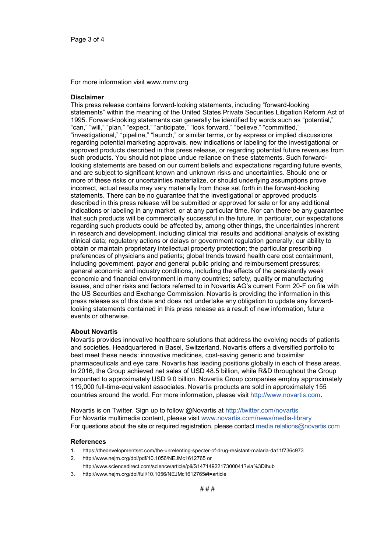For more information visit www.mmv.org

### **Disclaimer**

This press release contains forward-looking statements, including "forward-looking statements" within the meaning of the United States Private Securities Litigation Reform Act of 1995. Forward-looking statements can generally be identified by words such as "potential," "can," "will," "plan," "expect," "anticipate," "look forward," "believe," "committed," "investigational," "pipeline," "launch," or similar terms, or by express or implied discussions regarding potential marketing approvals, new indications or labeling for the investigational or approved products described in this press release, or regarding potential future revenues from such products. You should not place undue reliance on these statements. Such forwardlooking statements are based on our current beliefs and expectations regarding future events, and are subject to significant known and unknown risks and uncertainties. Should one or more of these risks or uncertainties materialize, or should underlying assumptions prove incorrect, actual results may vary materially from those set forth in the forward-looking statements. There can be no guarantee that the investigational or approved products described in this press release will be submitted or approved for sale or for any additional indications or labeling in any market, or at any particular time. Nor can there be any guarantee that such products will be commercially successful in the future. In particular, our expectations regarding such products could be affected by, among other things, the uncertainties inherent in research and development, including clinical trial results and additional analysis of existing clinical data; regulatory actions or delays or government regulation generally; our ability to obtain or maintain proprietary intellectual property protection; the particular prescribing preferences of physicians and patients; global trends toward health care cost containment, including government, payor and general public pricing and reimbursement pressures; general economic and industry conditions, including the effects of the persistently weak economic and financial environment in many countries; safety, quality or manufacturing issues, and other risks and factors referred to in Novartis AG's current Form 20-F on file with the US Securities and Exchange Commission. Novartis is providing the information in this press release as of this date and does not undertake any obligation to update any forwardlooking statements contained in this press release as a result of new information, future events or otherwise.

### **About Novartis**

Novartis provides innovative healthcare solutions that address the evolving needs of patients and societies. Headquartered in Basel, Switzerland, Novartis offers a diversified portfolio to best meet these needs: innovative medicines, cost-saving generic and biosimilar pharmaceuticals and eye care. Novartis has leading positions globally in each of these areas. In 2016, the Group achieved net sales of USD 48.5 billion, while R&D throughout the Group amounted to approximately USD 9.0 billion. Novartis Group companies employ approximately 119,000 full-time-equivalent associates. Novartis products are sold in approximately 155 countries around the world. For more information, please visit [http://www.novartis.com.](http://www.novartis.com/)

Novartis is on Twitter. Sign up to follow @Novartis at<http://twitter.com/novartis> For Novartis multimedia content, please visit [www.novartis.com/news/media-library](http://www.novartis.com/news/media-library) For questions about the site or required registration, please contact [media.relations@novartis.com](mailto:media.relations@novartis.com)

### **References**

- 1. <https://thedevelopmentset.com/the-unrelenting-specter-of-drug-resistant-malaria-da11f736c973>
- 2. http://www.nejm.org/doi/pdf/10.1056/NEJMc1612765 or <http://www.sciencedirect.com/science/article/pii/S1471492217300041?via%3Dihub>
- 3. <http://www.nejm.org/doi/full/10.1056/NEJMc1612765#t=article>